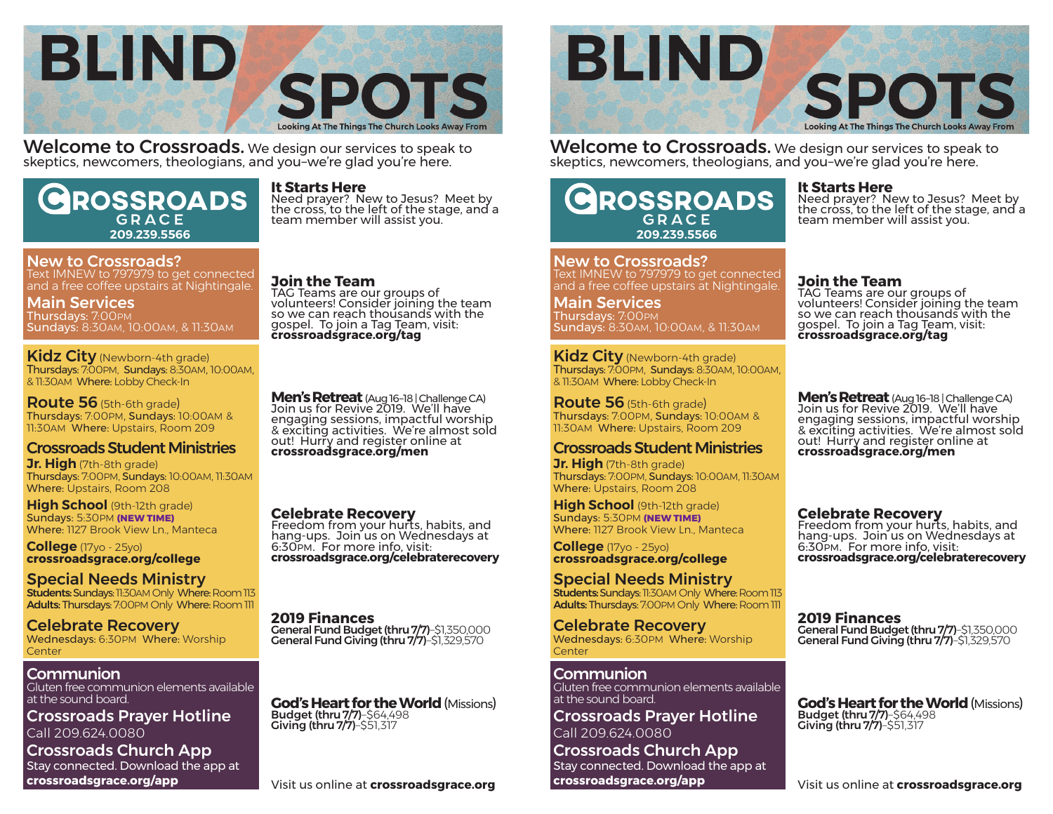

**Welcome to Crossroads.** We design our services to speak to skeptics, newcomers, theologians, and you–we're glad you're here.

# **ROSSROADS** GRACE **209.239.5566**

# New to Crossroads?

Text IMNEW to 797979 to get connected and a free coffee upstairs at Nightingale.

Main Services Thursdays: 7:00PM Sundays: 8:30AM, 10:00AM, & 11:30AM

Kidz City (Newborn-4th grade) Thursdays: 7:00PM, Sundays: 8:30AM, 10:00AM, & 11:30AM Where: Lobby Check-In

**Route 56** (5th-6th grade) Thursdays: 7:00PM, Sundays: 10:00AM & 11:30AM Where: Upstairs, Room 209

# Crossroads Student Ministries

**Jr. High** (7th-8th grade) Thursdays: 7:00PM, Sundays: 10:00AM, 11:30AM Where: Upstairs, Room 208

**High School** (9th-12th grade) Sundays: 5:30PM **(NEW TIME)** Where: 1127 Brook View Ln., Manteca

**College** (17yo - 25yo) **crossroadsgrace.org/college**

Special Needs Ministry Students: Sundays: 11:30AM Only Where: Room 113 Adults: Thursdays: 7:00PM Only Where: Room 111

### Celebrate Recovery Wednesdays: 6:30PM Where: Worship Center

**Communion** 

Gluten free communion elements available at the sound board.

Crossroads Prayer Hotline Call 209.624.0080

Crossroads Church App Stay connected. Download the app at **crossroadsgrace.org/app**

# **It Starts Here**

Need prayer? New to Jesus? Meet by the cross, to the left of the stage, and a team member will assist you.

**Join the Team**

TAG Teams are our groups of volunteers! Consider joining the team so we can reach thousands with the gospel. To join a Tag Team, visit: **crossroadsgrace.org/tag**

**Men's Retreat** (Aug 16–18 | Challenge CA) Join us for Revive 2019. We'll have engaging sessions, impactful worship & exciting activities. We're almost sold out! Hurry and register online at **crossroadsgrace.org/men**

**Celebrate Recovery** Freedom from your hurts, habits, and hang-ups. Join us on Wednesdays at 6:30PM. For more info, visit: **crossroadsgrace.org/celebraterecovery**

**2019 Finances** General Fund Giving (thru 7/7)–\$1,329,570

**God's Heart for the World** (Missions)<br>Budget (thru 7/7)–\$64,498<br>Giving (thru 7/7)–\$51,317



**Welcome to Crossroads.** We design our services to speak to skeptics, newcomers, theologians, and you–we're glad you're here.

# **ROSSROADS** GRACE **209.239.5566**

New to Crossroads? Text IMNEW to 797979 to get connected and a free coffee upstairs at Nightingale.

Main Services Thursdays: 7:00PM Sundays: 8:30AM, 10:00AM, & 11:30AM

Kidz City (Newborn-4th grade) Thursdays: 7:00PM, Sundays: 8:30AM, 10:00AM, & 11:30AM Where: Lobby Check-In

**Route 56** (5th-6th grade) Thursdays: 7:00PM, Sundays: 10:00AM & 11:30AM Where: Upstairs, Room 209

# Crossroads Student Ministries

**Jr. High** (7th-8th grade) Thursdays: 7:00PM, Sundays: 10:00AM, 11:30AM Where: Upstairs, Room 208

**High School** (9th-12th grade) Sundays: 5:30PM **(NEW TIME)** Where: 1127 Brook View Ln., Manteca

**College** (17yo - 25yo) **crossroadsgrace.org/college**

Special Needs Ministry Students: Sundays: 11:30AM Only Where: Room 113 Adults: Thursdays: 7:00PM Only Where: Room 111

Celebrate Recovery Wednesdays: 6:30PM Where: Worship Center

Communion Gluten free communion elements available at the sound board.

Crossroads Prayer Hotline Call 209.624.0080

Crossroads Church App Stay connected. Download the app at **crossroadsgrace.org/app**

### **It Starts Here**

Need prayer? New to Jesus? Meet by the cross, to the left of the stage, and a team member will assist you.

## **Join the Team**

TAG Teams are our groups of volunteers! Consider joining the team so we can reach thousands with the gospel. To join a Tag Team, visit: **crossroadsgrace.org/tag**

**Men's Retreat** (Aug 16–18 | Challenge CA) Join us for Revive 2019. We'll have engaging sessions, impactful worship & exciting activities. We're almost sold out! Hurry and register online at **crossroadsgrace.org/men**

**Celebrate Recovery** Freedom from your hurts, habits, and hang-ups. Join us on Wednesdays at 6:30PM. For more info, visit: **crossroadsgrace.org/celebraterecovery**

**2019 Finances** General Fund Giving (thru 7/7)–\$1,329,570

**God's Heart for the World** (Missions)<br>Budget (thru 7/7)–\$64,498<br>Giving (thru 7/7)–\$51,317

Visit us online at **crossroadsgrace.org**